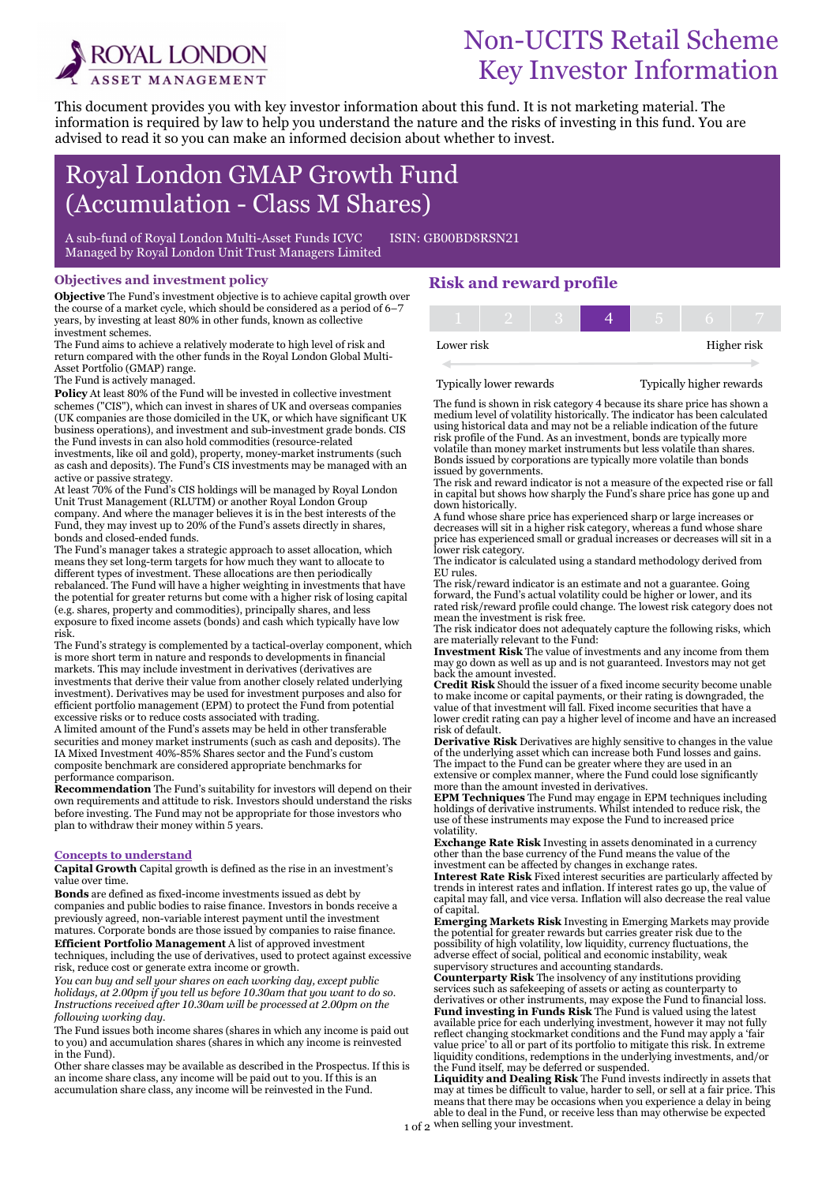

# Non-UCITS Retail Scheme Key Investor Information

This document provides you with key investor information about this fund. It is not marketing material. The information is required by law to help you understand the nature and the risks of investing in this fund. You are advised to read it so you can make an informed decision about whether to invest.

# Royal London GMAP Growth Fund (Accumulation - Class M Shares)

A sub-fund of Royal London Multi-Asset Funds ICVC ISIN: GB00BD8RSN21 Managed by Royal London Unit Trust Managers Limited

### Objectives and investment policy

Objective The Fund's investment objective is to achieve capital growth over the course of a market cycle, which should be considered as a period of 6–7 years, by investing at least 80% in other funds, known as collective investment schemes.

The Fund aims to achieve a relatively moderate to high level of risk and return compared with the other funds in the Royal London Global Multi-Asset Portfolio (GMAP) range.

The Fund is actively managed.

Ī

Policy At least 80% of the Fund will be invested in collective investment schemes ("CIS"), which can invest in shares of UK and overseas companies (UK companies are those domiciled in the UK, or which have significant UK business operations), and investment and sub-investment grade bonds. CIS the Fund invests in can also hold commodities (resource-related investments, like oil and gold), property, money-market instruments (such as cash and deposits). The Fund's CIS investments may be managed with an active or passive strategy.

At least 70% of the Fund's CIS holdings will be managed by Royal London Unit Trust Management (RLUTM) or another Royal London Group company. And where the manager believes it is in the best interests of the Fund, they may invest up to 20% of the Fund's assets directly in shares, bonds and closed-ended funds.

The Fund's manager takes a strategic approach to asset allocation, which means they set long-term targets for how much they want to allocate to different types of investment. These allocations are then periodically rebalanced. The Fund will have a higher weighting in investments that have the potential for greater returns but come with a higher risk of losing capital (e.g. shares, property and commodities), principally shares, and less exposure to fixed income assets (bonds) and cash which typically have low risk.

The Fund's strategy is complemented by a tactical-overlay component, which is more short term in nature and responds to developments in financial markets. This may include investment in derivatives (derivatives are investments that derive their value from another closely related underlying investment). Derivatives may be used for investment purposes and also for efficient portfolio management (EPM) to protect the Fund from potential excessive risks or to reduce costs associated with trading.

A limited amount of the Fund's assets may be held in other transferable securities and money market instruments (such as cash and deposits). The IA Mixed Investment 40%-85% Shares sector and the Fund's custom composite benchmark are considered appropriate benchmarks for performance comparison.

Recommendation The Fund's suitability for investors will depend on their own requirements and attitude to risk. Investors should understand the risks before investing. The Fund may not be appropriate for those investors who plan to withdraw their money within 5 years.

#### Concepts to understand

Capital Growth Capital growth is defined as the rise in an investment's value over time.

Bonds are defined as fixed-income investments issued as debt by companies and public bodies to raise finance. Investors in bonds receive a previously agreed, non-variable interest payment until the investment matures. Corporate bonds are those issued by companies to raise finance. Efficient Portfolio Management A list of approved investment

techniques, including the use of derivatives, used to protect against excessive risk, reduce cost or generate extra income or growth.

You can buy and sell your shares on each working day, except public holidays, at 2.00pm if you tell us before 10.30am that you want to do so. Instructions received after 10.30am will be processed at 2.00pm on the following working day.

The Fund issues both income shares (shares in which any income is paid out to you) and accumulation shares (shares in which any income is reinvested in the Fund).

Other share classes may be available as described in the Prospectus. If this is an income share class, any income will be paid out to you. If this is an accumulation share class, any income will be reinvested in the Fund.

# Risk and reward profile

| Lower risk |  |  | Higher risk |
|------------|--|--|-------------|

#### Typically lower rewards Typically higher rewards

The fund is shown in risk category 4 because its share price has shown a medium level of volatility historically. The indicator has been calculated using historical data and may not be a reliable indication of the future risk profile of the Fund. As an investment, bonds are typically more volatile than money market instruments but less volatile than shares. Bonds issued by corporations are typically more volatile than bonds issued by governments.

The risk and reward indicator is not a measure of the expected rise or fall in capital but shows how sharply the Fund's share price has gone up and down historically.

A fund whose share price has experienced sharp or large increases or decreases will sit in a higher risk category, whereas a fund whose share price has experienced small or gradual increases or decreases will sit in a lower risk category.

The indicator is calculated using a standard methodology derived from EU rules.

The risk/reward indicator is an estimate and not a guarantee. Going forward, the Fund's actual volatility could be higher or lower, and its rated risk/reward profile could change. The lowest risk category does not mean the investment is risk free.

The risk indicator does not adequately capture the following risks, which are materially relevant to the Fund:

Investment Risk The value of investments and any income from them may go down as well as up and is not guaranteed. Investors may not get back the amount invested.

Credit Risk Should the issuer of a fixed income security become unable to make income or capital payments, or their rating is downgraded, the value of that investment will fall. Fixed income securities that have a lower credit rating can pay a higher level of income and have an increased risk of default.

Derivative Risk Derivatives are highly sensitive to changes in the value of the underlying asset which can increase both Fund losses and gains. The impact to the Fund can be greater where they are used in an extensive or complex manner, where the Fund could lose significantly more than the amount invested in derivatives.

**EPM Techniques** The Fund may engage in EPM techniques including holdings of derivative instruments. Whilst intended to reduce risk, the use of these instruments may expose the Fund to increased price volatility.

Exchange Rate Risk Investing in assets denominated in a currency other than the base currency of the Fund means the value of the investment can be affected by changes in exchange rates.

Interest Rate Risk Fixed interest securities are particularly affected by trends in interest rates and inflation. If interest rates go up, the value of capital may fall, and vice versa. Inflation will also decrease the real value of capital.

Emerging Markets Risk Investing in Emerging Markets may provide the potential for greater rewards but carries greater risk due to the possibility of high volatility, low liquidity, currency fluctuations, the adverse effect of social, political and economic instability, weak supervisory structures and accounting standards.

Counterparty Risk The insolvency of any institutions providing services such as safekeeping of assets or acting as counterparty to derivatives or other instruments, may expose the Fund to financial loss. **Fund investing in Funds Risk** The Fund is valued using the latest available price for each underlying investment, however it may not fully reflect changing stockmarket conditions and the Fund may apply a 'fair value price' to all or part of its portfolio to mitigate this risk. In extreme liquidity conditions, redemptions in the underlying investments, and/or the Fund itself, may be deferred or suspended.

1 of 2 when selling your investment. Liquidity and Dealing Risk The Fund invests indirectly in assets that may at times be difficult to value, harder to sell, or sell at a fair price. This means that there may be occasions when you experience a delay in being able to deal in the Fund, or receive less than may otherwise be expected